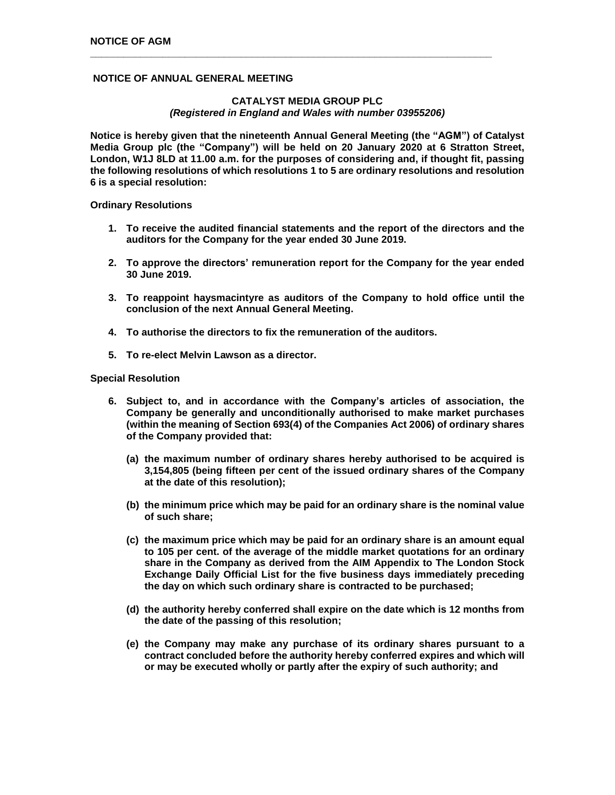# **NOTICE OF ANNUAL GENERAL MEETING**

# **CATALYST MEDIA GROUP PLC** *(Registered in England and Wales with number 03955206)*

**\_\_\_\_\_\_\_\_\_\_\_\_\_\_\_\_\_\_\_\_\_\_\_\_\_\_\_\_\_\_\_\_\_\_\_\_\_\_\_\_\_\_\_\_\_\_\_\_\_\_\_\_\_\_\_\_\_\_\_\_\_\_\_\_\_\_\_\_\_\_\_\_**

**Notice is hereby given that the nineteenth Annual General Meeting (the "AGM") of Catalyst Media Group plc (the "Company") will be held on 20 January 2020 at 6 Stratton Street, London, W1J 8LD at 11.00 a.m. for the purposes of considering and, if thought fit, passing the following resolutions of which resolutions 1 to 5 are ordinary resolutions and resolution 6 is a special resolution:**

**Ordinary Resolutions**

- **1. To receive the audited financial statements and the report of the directors and the auditors for the Company for the year ended 30 June 2019.**
- **2. To approve the directors' remuneration report for the Company for the year ended 30 June 2019.**
- **3. To reappoint haysmacintyre as auditors of the Company to hold office until the conclusion of the next Annual General Meeting.**
- **4. To authorise the directors to fix the remuneration of the auditors.**
- **5. To re-elect Melvin Lawson as a director.**

## **Special Resolution**

- **6. Subject to, and in accordance with the Company's articles of association, the Company be generally and unconditionally authorised to make market purchases (within the meaning of Section 693(4) of the Companies Act 2006) of ordinary shares of the Company provided that:**
	- **(a) the maximum number of ordinary shares hereby authorised to be acquired is 3,154,805 (being fifteen per cent of the issued ordinary shares of the Company at the date of this resolution);**
	- **(b) the minimum price which may be paid for an ordinary share is the nominal value of such share;**
	- **(c) the maximum price which may be paid for an ordinary share is an amount equal to 105 per cent. of the average of the middle market quotations for an ordinary share in the Company as derived from the AIM Appendix to The London Stock Exchange Daily Official List for the five business days immediately preceding the day on which such ordinary share is contracted to be purchased;**
	- **(d) the authority hereby conferred shall expire on the date which is 12 months from the date of the passing of this resolution;**
	- **(e) the Company may make any purchase of its ordinary shares pursuant to a contract concluded before the authority hereby conferred expires and which will or may be executed wholly or partly after the expiry of such authority; and**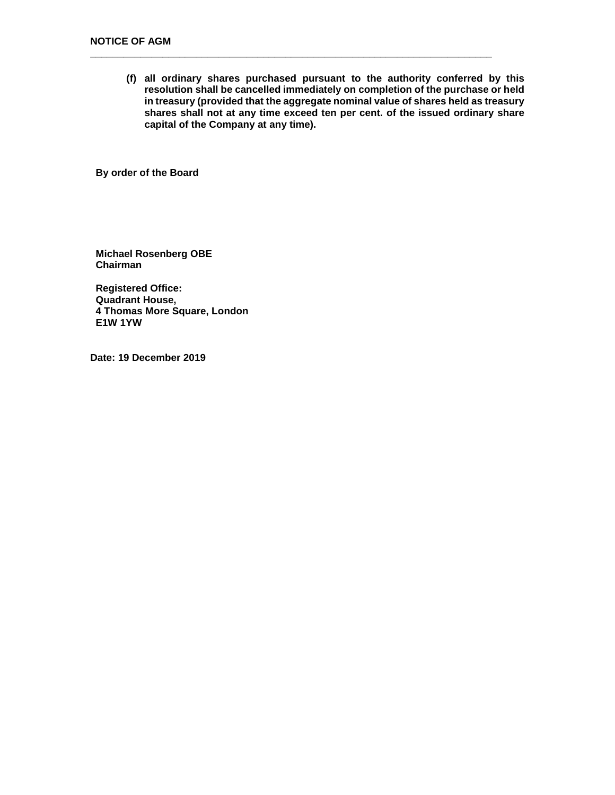**(f) all ordinary shares purchased pursuant to the authority conferred by this resolution shall be cancelled immediately on completion of the purchase or held in treasury (provided that the aggregate nominal value of shares held as treasury shares shall not at any time exceed ten per cent. of the issued ordinary share capital of the Company at any time).**

**\_\_\_\_\_\_\_\_\_\_\_\_\_\_\_\_\_\_\_\_\_\_\_\_\_\_\_\_\_\_\_\_\_\_\_\_\_\_\_\_\_\_\_\_\_\_\_\_\_\_\_\_\_\_\_\_\_\_\_\_\_\_\_\_\_\_\_\_\_\_\_\_**

**By order of the Board**

**Michael Rosenberg OBE Chairman**

**Registered Office: Quadrant House, 4 Thomas More Square, London E1W 1YW**

**Date: 19 December 2019**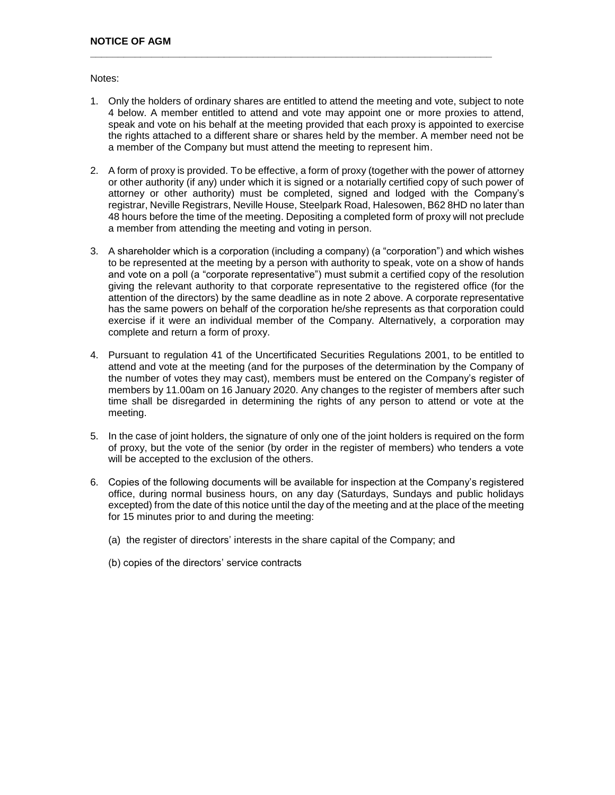Notes:

1. Only the holders of ordinary shares are entitled to attend the meeting and vote, subject to note 4 below. A member entitled to attend and vote may appoint one or more proxies to attend, speak and vote on his behalf at the meeting provided that each proxy is appointed to exercise the rights attached to a different share or shares held by the member. A member need not be a member of the Company but must attend the meeting to represent him.

**\_\_\_\_\_\_\_\_\_\_\_\_\_\_\_\_\_\_\_\_\_\_\_\_\_\_\_\_\_\_\_\_\_\_\_\_\_\_\_\_\_\_\_\_\_\_\_\_\_\_\_\_\_\_\_\_\_\_\_\_\_\_\_\_\_\_\_\_\_\_\_\_**

- 2. A form of proxy is provided. To be effective, a form of proxy (together with the power of attorney or other authority (if any) under which it is signed or a notarially certified copy of such power of attorney or other authority) must be completed, signed and lodged with the Company's registrar, Neville Registrars, Neville House, Steelpark Road, Halesowen, B62 8HD no later than 48 hours before the time of the meeting. Depositing a completed form of proxy will not preclude a member from attending the meeting and voting in person.
- 3. A shareholder which is a corporation (including a company) (a "corporation") and which wishes to be represented at the meeting by a person with authority to speak, vote on a show of hands and vote on a poll (a "corporate representative") must submit a certified copy of the resolution giving the relevant authority to that corporate representative to the registered office (for the attention of the directors) by the same deadline as in note 2 above. A corporate representative has the same powers on behalf of the corporation he/she represents as that corporation could exercise if it were an individual member of the Company. Alternatively, a corporation may complete and return a form of proxy.
- 4. Pursuant to regulation 41 of the Uncertificated Securities Regulations 2001, to be entitled to attend and vote at the meeting (and for the purposes of the determination by the Company of the number of votes they may cast), members must be entered on the Company's register of members by 11.00am on 16 January 2020. Any changes to the register of members after such time shall be disregarded in determining the rights of any person to attend or vote at the meeting.
- 5. In the case of joint holders, the signature of only one of the joint holders is required on the form of proxy, but the vote of the senior (by order in the register of members) who tenders a vote will be accepted to the exclusion of the others.
- 6. Copies of the following documents will be available for inspection at the Company's registered office, during normal business hours, on any day (Saturdays, Sundays and public holidays excepted) from the date of this notice until the day of the meeting and at the place of the meeting for 15 minutes prior to and during the meeting:
	- (a) the register of directors' interests in the share capital of the Company; and
	- (b) copies of the directors' service contracts